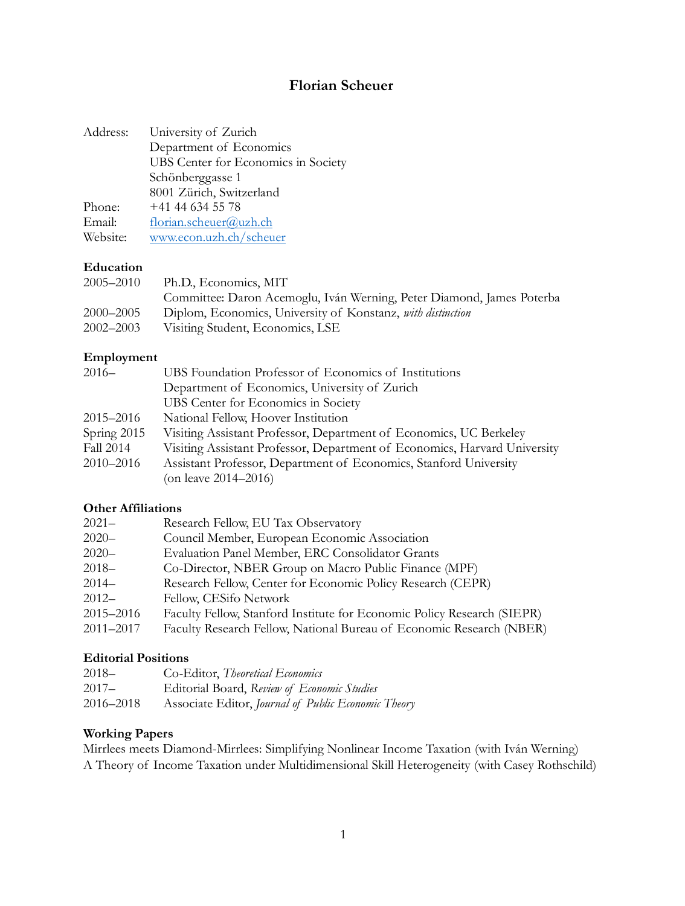# **Florian Scheuer**

| Address: | University of Zurich                |
|----------|-------------------------------------|
|          | Department of Economics             |
|          | UBS Center for Economics in Society |
|          | Schönberggasse 1                    |
|          | 8001 Zürich, Switzerland            |
| Phone:   | $+41$ 44 634 55 78                  |
| Email:   | florian.scheuer@uzh.ch              |
| Website: | www.econ.uzh.ch/scheuer             |
|          |                                     |

# **Education**

| Ph.D., Economics, MIT                                                 |
|-----------------------------------------------------------------------|
| Committee: Daron Acemoglu, Iván Werning, Peter Diamond, James Poterba |
| Diplom, Economics, University of Konstanz, with distinction           |
| Visiting Student, Economics, LSE                                      |
|                                                                       |

# **Employment**

| $2016-$     | UBS Foundation Professor of Economics of Institutions                     |
|-------------|---------------------------------------------------------------------------|
|             | Department of Economics, University of Zurich                             |
|             | UBS Center for Economics in Society                                       |
| 2015–2016   | National Fellow, Hoover Institution                                       |
| Spring 2015 | Visiting Assistant Professor, Department of Economics, UC Berkeley        |
| Fall 2014   | Visiting Assistant Professor, Department of Economics, Harvard University |
| 2010–2016   | Assistant Professor, Department of Economics, Stanford University         |
|             | (on leave 2014–2016)                                                      |
|             |                                                                           |

## **Other Affiliations**

| Research Fellow, EU Tax Observatory<br>$2021 -$                                      |  |
|--------------------------------------------------------------------------------------|--|
| Council Member, European Economic Association<br>$2020 -$                            |  |
| Evaluation Panel Member, ERC Consolidator Grants<br>$2020 -$                         |  |
| Co-Director, NBER Group on Macro Public Finance (MPF)<br>$2018-$                     |  |
| Research Fellow, Center for Economic Policy Research (CEPR)<br>$2014-$               |  |
| Fellow, CESifo Network<br>$2012-$                                                    |  |
| 2015-2016<br>Faculty Fellow, Stanford Institute for Economic Policy Research (SIEPR) |  |
| 2011-2017<br>Faculty Research Fellow, National Bureau of Economic Research (NBER)    |  |

## **Editorial Positions**

| $2018-$   | Co-Editor, Theoretical Economics                    |
|-----------|-----------------------------------------------------|
| $2017 -$  | Editorial Board, Review of Economic Studies         |
| 2016–2018 | Associate Editor, Journal of Public Economic Theory |

## **Working Papers**

Mirrlees meets Diamond-Mirrlees: Simplifying Nonlinear Income Taxation (with Iván Werning) A Theory of Income Taxation under Multidimensional Skill Heterogeneity (with Casey Rothschild)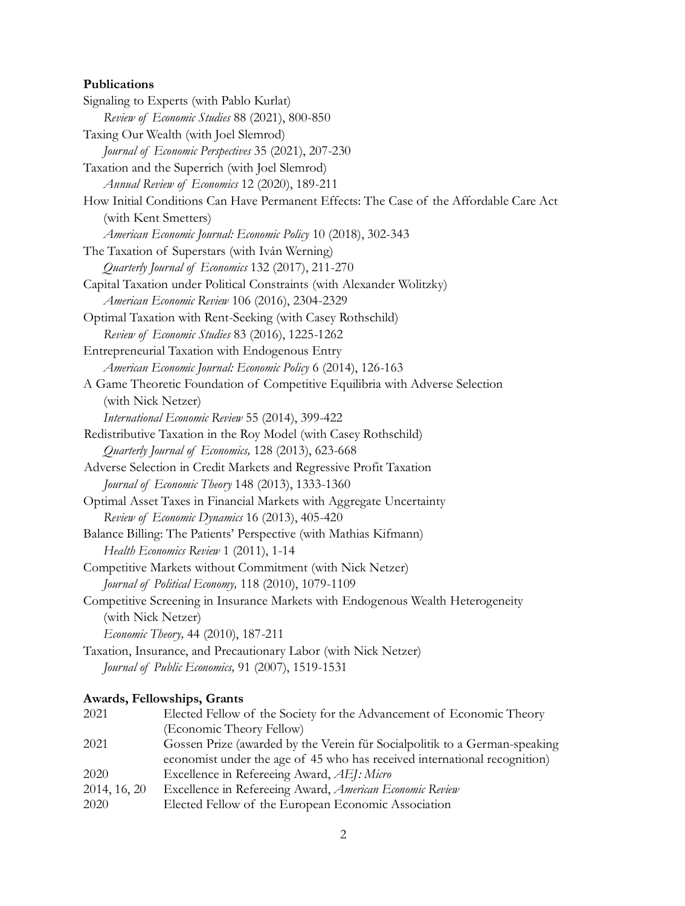# **Publications**

| Signaling to Experts (with Pablo Kurlat)                                               |
|----------------------------------------------------------------------------------------|
| Review of Economic Studies 88 (2021), 800-850                                          |
| Taxing Our Wealth (with Joel Slemrod)                                                  |
| Journal of Economic Perspectives 35 (2021), 207-230                                    |
| Taxation and the Superrich (with Joel Slemrod)                                         |
| Annual Review of Economics 12 (2020), 189-211                                          |
| How Initial Conditions Can Have Permanent Effects: The Case of the Affordable Care Act |
| (with Kent Smetters)                                                                   |
| American Economic Journal: Economic Policy 10 (2018), 302-343                          |
| The Taxation of Superstars (with Iván Werning)                                         |
| Quarterly Journal of Economics 132 (2017), 211-270                                     |
| Capital Taxation under Political Constraints (with Alexander Wolitzky)                 |
| American Economic Review 106 (2016), 2304-2329                                         |
| Optimal Taxation with Rent-Seeking (with Casey Rothschild)                             |
| Review of Economic Studies 83 (2016), 1225-1262                                        |
| Entrepreneurial Taxation with Endogenous Entry                                         |
| American Economic Journal: Economic Policy 6 (2014), 126-163                           |
| A Game Theoretic Foundation of Competitive Equilibria with Adverse Selection           |
| (with Nick Netzer)                                                                     |
| International Economic Review 55 (2014), 399-422                                       |
| Redistributive Taxation in the Roy Model (with Casey Rothschild)                       |
| Quarterly Journal of Economics, 128 (2013), 623-668                                    |
| Adverse Selection in Credit Markets and Regressive Profit Taxation                     |
| Journal of Economic Theory 148 (2013), 1333-1360                                       |
| Optimal Asset Taxes in Financial Markets with Aggregate Uncertainty                    |
| Review of Economic Dynamics 16 (2013), 405-420                                         |
| Balance Billing: The Patients' Perspective (with Mathias Kifmann)                      |
| Health Economics Review 1 (2011), 1-14                                                 |
| Competitive Markets without Commitment (with Nick Netzer)                              |
| Journal of Political Economy, 118 (2010), 1079-1109                                    |
| Competitive Screening in Insurance Markets with Endogenous Wealth Heterogeneity        |
| (with Nick Netzer)                                                                     |
| Economic Theory, 44 (2010), 187-211                                                    |
| Taxation, Insurance, and Precautionary Labor (with Nick Netzer)                        |
| Journal of Public Economics, 91 (2007), 1519-1531                                      |

# **Awards, Fellowships, Grants**

| 2021         | Elected Fellow of the Society for the Advancement of Economic Theory       |
|--------------|----------------------------------------------------------------------------|
|              | (Economic Theory Fellow)                                                   |
| 2021         | Gossen Prize (awarded by the Verein für Socialpolitik to a German-speaking |
|              | economist under the age of 45 who has received international recognition)  |
| 2020         | Excellence in Refereeing Award, <i>AEJ: Micro</i>                          |
| 2014, 16, 20 | Excellence in Refereeing Award, American Economic Review                   |
| 2020         | Elected Fellow of the European Economic Association                        |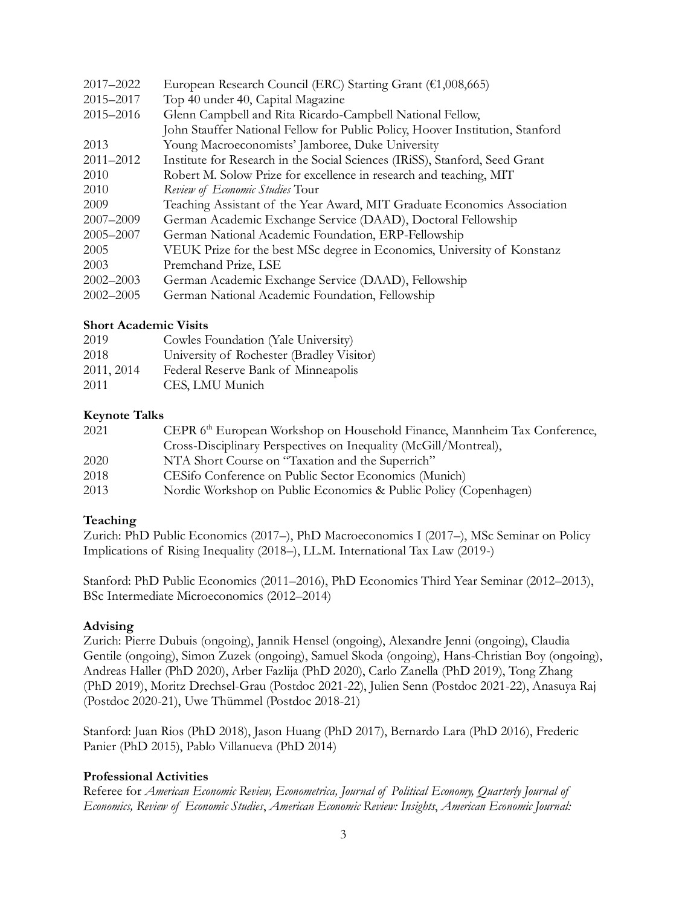| 2017-2022     | European Research Council (ERC) Starting Grant (€1,008,665)                   |
|---------------|-------------------------------------------------------------------------------|
| 2015-2017     | Top 40 under 40, Capital Magazine                                             |
| 2015-2016     | Glenn Campbell and Rita Ricardo-Campbell National Fellow,                     |
|               | John Stauffer National Fellow for Public Policy, Hoover Institution, Stanford |
| 2013          | Young Macroeconomists' Jamboree, Duke University                              |
| $2011 - 2012$ | Institute for Research in the Social Sciences (IRiSS), Stanford, Seed Grant   |
| 2010          | Robert M. Solow Prize for excellence in research and teaching, MIT            |
| 2010          | Review of Economic Studies Tour                                               |
| 2009          | Teaching Assistant of the Year Award, MIT Graduate Economics Association      |
| 2007-2009     | German Academic Exchange Service (DAAD), Doctoral Fellowship                  |
| $2005 - 2007$ | German National Academic Foundation, ERP-Fellowship                           |
| 2005          | VEUK Prize for the best MSc degree in Economics, University of Konstanz       |
| 2003          | Premchand Prize, LSE                                                          |
| $2002 - 2003$ | German Academic Exchange Service (DAAD), Fellowship                           |
| $2002 - 2005$ | German National Academic Foundation, Fellowship                               |

#### **Short Academic Visits**

| 2019       | Cowles Foundation (Yale University)       |
|------------|-------------------------------------------|
| 2018       | University of Rochester (Bradley Visitor) |
| 2011, 2014 | Federal Reserve Bank of Minneapolis       |
| 2011       | CES, LMU Munich                           |

### **Keynote Talks**

| 2021 | CEPR 6 <sup>th</sup> European Workshop on Household Finance, Mannheim Tax Conference, |
|------|---------------------------------------------------------------------------------------|
|      | Cross-Disciplinary Perspectives on Inequality (McGill/Montreal),                      |
| 2020 | NTA Short Course on "Taxation and the Superrich"                                      |
| 2018 | CESifo Conference on Public Sector Economics (Munich)                                 |
| 2013 | Nordic Workshop on Public Economics & Public Policy (Copenhagen)                      |

## **Teaching**

Zurich: PhD Public Economics (2017–), PhD Macroeconomics I (2017–), MSc Seminar on Policy Implications of Rising Inequality (2018–), LL.M. International Tax Law (2019-)

Stanford: PhD Public Economics (2011–2016), PhD Economics Third Year Seminar (2012–2013), BSc Intermediate Microeconomics (2012–2014)

#### **Advising**

Zurich: Pierre Dubuis (ongoing), Jannik Hensel (ongoing), Alexandre Jenni (ongoing), Claudia Gentile (ongoing), Simon Zuzek (ongoing), Samuel Skoda (ongoing), Hans-Christian Boy (ongoing), Andreas Haller (PhD 2020), Arber Fazlija (PhD 2020), Carlo Zanella (PhD 2019), Tong Zhang (PhD 2019), Moritz Drechsel-Grau (Postdoc 2021-22), Julien Senn (Postdoc 2021-22), Anasuya Raj (Postdoc 2020-21), Uwe Thümmel (Postdoc 2018-21)

Stanford: Juan Rios (PhD 2018), Jason Huang (PhD 2017), Bernardo Lara (PhD 2016), Frederic Panier (PhD 2015), Pablo Villanueva (PhD 2014)

#### **Professional Activities**

Referee for *American Economic Review, Econometrica, Journal of Political Economy, Quarterly Journal of Economics, Review of Economic Studies*, *American Economic Review: Insights*, *American Economic Journal:*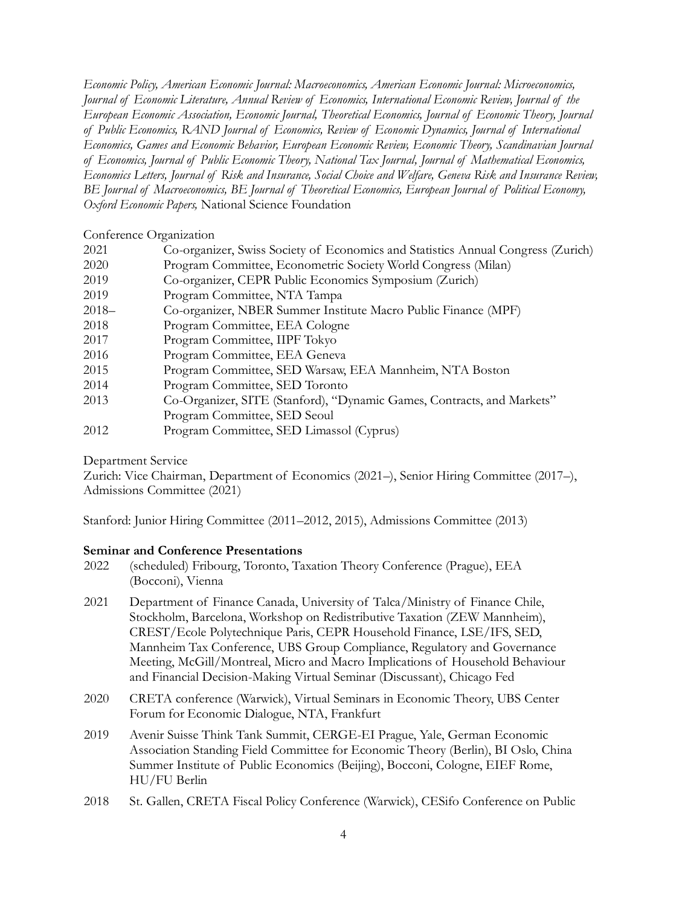*Economic Policy, American Economic Journal: Macroeconomics, American Economic Journal: Microeconomics, Journal of Economic Literature, Annual Review of Economics, International Economic Review, Journal of the European Economic Association, Economic Journal, Theoretical Economics, Journal of Economic Theory, Journal of Public Economics, RAND Journal of Economics, Review of Economic Dynamics, Journal of International Economics, Games and Economic Behavior, European Economic Review, Economic Theory, Scandinavian Journal of Economics, Journal of Public Economic Theory, National Tax Journal, Journal of Mathematical Economics, Economics Letters, Journal of Risk and Insurance, Social Choice and Welfare, Geneva Risk and Insurance Review, BE Journal of Macroeconomics, BE Journal of Theoretical Economics, European Journal of Political Economy, Oxford Economic Papers,* National Science Foundation

#### Conference Organization

| 2021    | Co-organizer, Swiss Society of Economics and Statistics Annual Congress (Zurich) |
|---------|----------------------------------------------------------------------------------|
| 2020    | Program Committee, Econometric Society World Congress (Milan)                    |
| 2019    | Co-organizer, CEPR Public Economics Symposium (Zurich)                           |
| 2019    | Program Committee, NTA Tampa                                                     |
| $2018-$ | Co-organizer, NBER Summer Institute Macro Public Finance (MPF)                   |
| 2018    | Program Committee, EEA Cologne                                                   |
| 2017    | Program Committee, IIPF Tokyo                                                    |
| 2016    | Program Committee, EEA Geneva                                                    |
| 2015    | Program Committee, SED Warsaw, EEA Mannheim, NTA Boston                          |
| 2014    | Program Committee, SED Toronto                                                   |
| 2013    | Co-Organizer, SITE (Stanford), "Dynamic Games, Contracts, and Markets"           |
|         | Program Committee, SED Seoul                                                     |
| 2012    | Program Committee, SED Limassol (Cyprus)                                         |
|         |                                                                                  |

Department Service

Zurich: Vice Chairman, Department of Economics (2021–), Senior Hiring Committee (2017–), Admissions Committee (2021)

Stanford: Junior Hiring Committee (2011–2012, 2015), Admissions Committee (2013)

## **Seminar and Conference Presentations**

- 2022 (scheduled) Fribourg, Toronto, Taxation Theory Conference (Prague), EEA (Bocconi), Vienna
- 2021 Department of Finance Canada, University of Talca/Ministry of Finance Chile, Stockholm, Barcelona, Workshop on Redistributive Taxation (ZEW Mannheim), CREST/Ecole Polytechnique Paris, CEPR Household Finance, LSE/IFS, SED, Mannheim Tax Conference, UBS Group Compliance, Regulatory and Governance Meeting, McGill/Montreal, Micro and Macro Implications of Household Behaviour and Financial Decision-Making Virtual Seminar (Discussant), Chicago Fed
- 2020 CRETA conference (Warwick), Virtual Seminars in Economic Theory, UBS Center Forum for Economic Dialogue, NTA, Frankfurt
- 2019 Avenir Suisse Think Tank Summit, CERGE-EI Prague, Yale, German Economic Association Standing Field Committee for Economic Theory (Berlin), BI Oslo, China Summer Institute of Public Economics (Beijing), Bocconi, Cologne, EIEF Rome, HU/FU Berlin
- 2018 St. Gallen, CRETA Fiscal Policy Conference (Warwick), CESifo Conference on Public